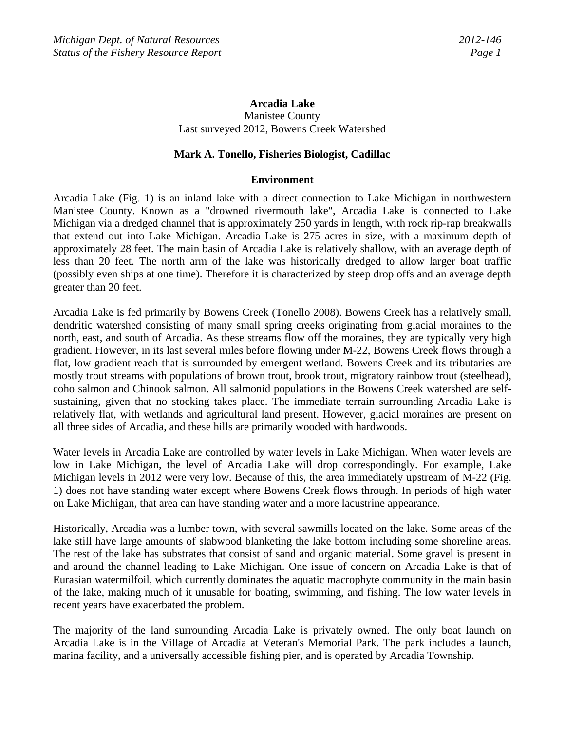# **Arcadia Lake**

Manistee County Last surveyed 2012, Bowens Creek Watershed

### **Mark A. Tonello, Fisheries Biologist, Cadillac**

#### **Environment**

Arcadia Lake (Fig. 1) is an inland lake with a direct connection to Lake Michigan in northwestern Manistee County. Known as a "drowned rivermouth lake", Arcadia Lake is connected to Lake Michigan via a dredged channel that is approximately 250 yards in length, with rock rip-rap breakwalls that extend out into Lake Michigan. Arcadia Lake is 275 acres in size, with a maximum depth of approximately 28 feet. The main basin of Arcadia Lake is relatively shallow, with an average depth of less than 20 feet. The north arm of the lake was historically dredged to allow larger boat traffic (possibly even ships at one time). Therefore it is characterized by steep drop offs and an average depth greater than 20 feet.

Arcadia Lake is fed primarily by Bowens Creek (Tonello 2008). Bowens Creek has a relatively small, dendritic watershed consisting of many small spring creeks originating from glacial moraines to the north, east, and south of Arcadia. As these streams flow off the moraines, they are typically very high gradient. However, in its last several miles before flowing under M-22, Bowens Creek flows through a flat, low gradient reach that is surrounded by emergent wetland. Bowens Creek and its tributaries are mostly trout streams with populations of brown trout, brook trout, migratory rainbow trout (steelhead), coho salmon and Chinook salmon. All salmonid populations in the Bowens Creek watershed are selfsustaining, given that no stocking takes place. The immediate terrain surrounding Arcadia Lake is relatively flat, with wetlands and agricultural land present. However, glacial moraines are present on all three sides of Arcadia, and these hills are primarily wooded with hardwoods.

Water levels in Arcadia Lake are controlled by water levels in Lake Michigan. When water levels are low in Lake Michigan, the level of Arcadia Lake will drop correspondingly. For example, Lake Michigan levels in 2012 were very low. Because of this, the area immediately upstream of M-22 (Fig. 1) does not have standing water except where Bowens Creek flows through. In periods of high water on Lake Michigan, that area can have standing water and a more lacustrine appearance.

Historically, Arcadia was a lumber town, with several sawmills located on the lake. Some areas of the lake still have large amounts of slabwood blanketing the lake bottom including some shoreline areas. The rest of the lake has substrates that consist of sand and organic material. Some gravel is present in and around the channel leading to Lake Michigan. One issue of concern on Arcadia Lake is that of Eurasian watermilfoil, which currently dominates the aquatic macrophyte community in the main basin of the lake, making much of it unusable for boating, swimming, and fishing. The low water levels in recent years have exacerbated the problem.

The majority of the land surrounding Arcadia Lake is privately owned. The only boat launch on Arcadia Lake is in the Village of Arcadia at Veteran's Memorial Park. The park includes a launch, marina facility, and a universally accessible fishing pier, and is operated by Arcadia Township.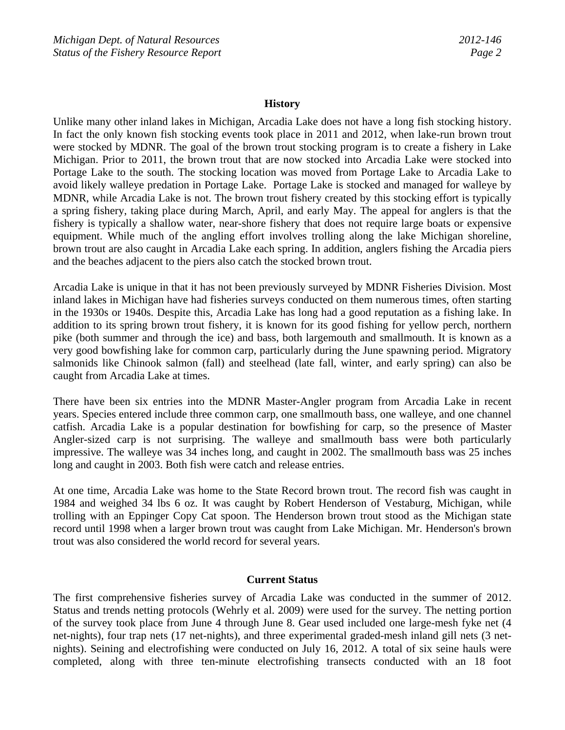### **History**

Unlike many other inland lakes in Michigan, Arcadia Lake does not have a long fish stocking history. In fact the only known fish stocking events took place in 2011 and 2012, when lake-run brown trout were stocked by MDNR. The goal of the brown trout stocking program is to create a fishery in Lake Michigan. Prior to 2011, the brown trout that are now stocked into Arcadia Lake were stocked into Portage Lake to the south. The stocking location was moved from Portage Lake to Arcadia Lake to avoid likely walleye predation in Portage Lake. Portage Lake is stocked and managed for walleye by MDNR, while Arcadia Lake is not. The brown trout fishery created by this stocking effort is typically a spring fishery, taking place during March, April, and early May. The appeal for anglers is that the fishery is typically a shallow water, near-shore fishery that does not require large boats or expensive equipment. While much of the angling effort involves trolling along the lake Michigan shoreline, brown trout are also caught in Arcadia Lake each spring. In addition, anglers fishing the Arcadia piers and the beaches adjacent to the piers also catch the stocked brown trout.

Arcadia Lake is unique in that it has not been previously surveyed by MDNR Fisheries Division. Most inland lakes in Michigan have had fisheries surveys conducted on them numerous times, often starting in the 1930s or 1940s. Despite this, Arcadia Lake has long had a good reputation as a fishing lake. In addition to its spring brown trout fishery, it is known for its good fishing for yellow perch, northern pike (both summer and through the ice) and bass, both largemouth and smallmouth. It is known as a very good bowfishing lake for common carp, particularly during the June spawning period. Migratory salmonids like Chinook salmon (fall) and steelhead (late fall, winter, and early spring) can also be caught from Arcadia Lake at times.

There have been six entries into the MDNR Master-Angler program from Arcadia Lake in recent years. Species entered include three common carp, one smallmouth bass, one walleye, and one channel catfish. Arcadia Lake is a popular destination for bowfishing for carp, so the presence of Master Angler-sized carp is not surprising. The walleye and smallmouth bass were both particularly impressive. The walleye was 34 inches long, and caught in 2002. The smallmouth bass was 25 inches long and caught in 2003. Both fish were catch and release entries.

At one time, Arcadia Lake was home to the State Record brown trout. The record fish was caught in 1984 and weighed 34 lbs 6 oz. It was caught by Robert Henderson of Vestaburg, Michigan, while trolling with an Eppinger Copy Cat spoon. The Henderson brown trout stood as the Michigan state record until 1998 when a larger brown trout was caught from Lake Michigan. Mr. Henderson's brown trout was also considered the world record for several years.

## **Current Status**

The first comprehensive fisheries survey of Arcadia Lake was conducted in the summer of 2012. Status and trends netting protocols (Wehrly et al. 2009) were used for the survey. The netting portion of the survey took place from June 4 through June 8. Gear used included one large-mesh fyke net (4 net-nights), four trap nets (17 net-nights), and three experimental graded-mesh inland gill nets (3 netnights). Seining and electrofishing were conducted on July 16, 2012. A total of six seine hauls were completed, along with three ten-minute electrofishing transects conducted with an 18 foot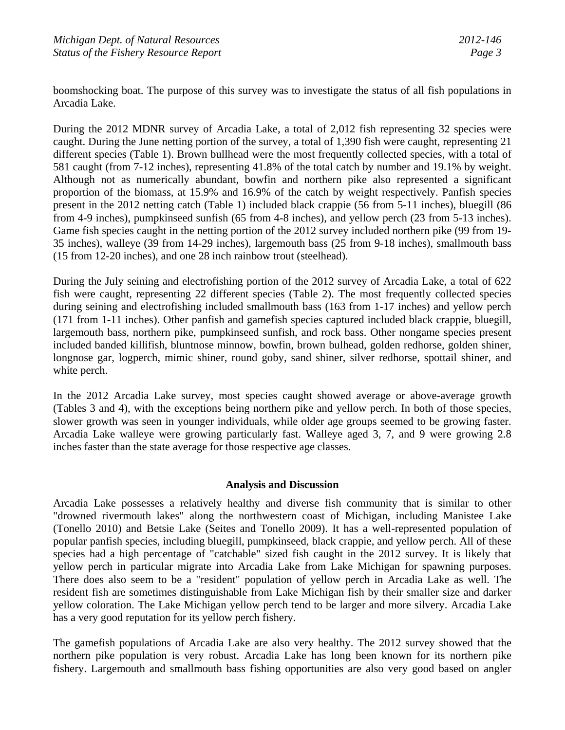boomshocking boat. The purpose of this survey was to investigate the status of all fish populations in Arcadia Lake.

During the 2012 MDNR survey of Arcadia Lake, a total of 2,012 fish representing 32 species were caught. During the June netting portion of the survey, a total of 1,390 fish were caught, representing 21 different species (Table 1). Brown bullhead were the most frequently collected species, with a total of 581 caught (from 7-12 inches), representing 41.8% of the total catch by number and 19.1% by weight. Although not as numerically abundant, bowfin and northern pike also represented a significant proportion of the biomass, at 15.9% and 16.9% of the catch by weight respectively. Panfish species present in the 2012 netting catch (Table 1) included black crappie (56 from 5-11 inches), bluegill (86 from 4-9 inches), pumpkinseed sunfish (65 from 4-8 inches), and yellow perch (23 from 5-13 inches). Game fish species caught in the netting portion of the 2012 survey included northern pike (99 from 19- 35 inches), walleye (39 from 14-29 inches), largemouth bass (25 from 9-18 inches), smallmouth bass (15 from 12-20 inches), and one 28 inch rainbow trout (steelhead).

During the July seining and electrofishing portion of the 2012 survey of Arcadia Lake, a total of 622 fish were caught, representing 22 different species (Table 2). The most frequently collected species during seining and electrofishing included smallmouth bass (163 from 1-17 inches) and yellow perch (171 from 1-11 inches). Other panfish and gamefish species captured included black crappie, bluegill, largemouth bass, northern pike, pumpkinseed sunfish, and rock bass. Other nongame species present included banded killifish, bluntnose minnow, bowfin, brown bulhead, golden redhorse, golden shiner, longnose gar, logperch, mimic shiner, round goby, sand shiner, silver redhorse, spottail shiner, and white perch.

In the 2012 Arcadia Lake survey, most species caught showed average or above-average growth (Tables 3 and 4), with the exceptions being northern pike and yellow perch. In both of those species, slower growth was seen in younger individuals, while older age groups seemed to be growing faster. Arcadia Lake walleye were growing particularly fast. Walleye aged 3, 7, and 9 were growing 2.8 inches faster than the state average for those respective age classes.

### **Analysis and Discussion**

Arcadia Lake possesses a relatively healthy and diverse fish community that is similar to other "drowned rivermouth lakes" along the northwestern coast of Michigan, including Manistee Lake (Tonello 2010) and Betsie Lake (Seites and Tonello 2009). It has a well-represented population of popular panfish species, including bluegill, pumpkinseed, black crappie, and yellow perch. All of these species had a high percentage of "catchable" sized fish caught in the 2012 survey. It is likely that yellow perch in particular migrate into Arcadia Lake from Lake Michigan for spawning purposes. There does also seem to be a "resident" population of yellow perch in Arcadia Lake as well. The resident fish are sometimes distinguishable from Lake Michigan fish by their smaller size and darker yellow coloration. The Lake Michigan yellow perch tend to be larger and more silvery. Arcadia Lake has a very good reputation for its yellow perch fishery.

The gamefish populations of Arcadia Lake are also very healthy. The 2012 survey showed that the northern pike population is very robust. Arcadia Lake has long been known for its northern pike fishery. Largemouth and smallmouth bass fishing opportunities are also very good based on angler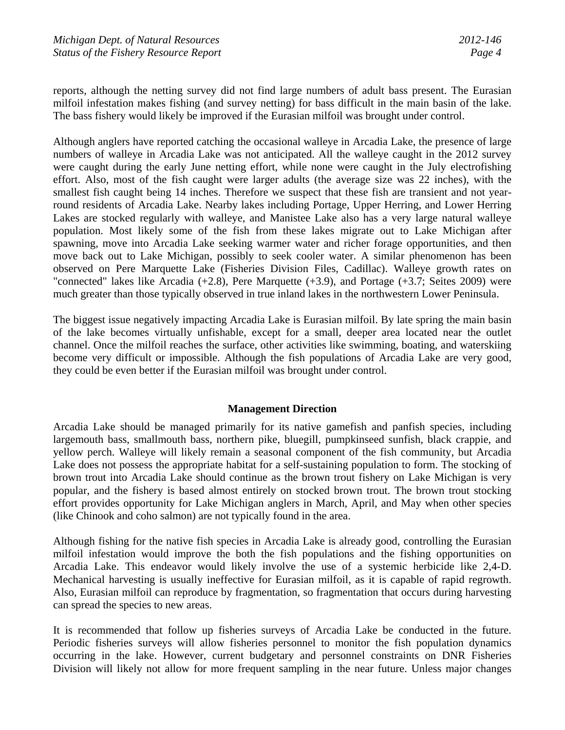reports, although the netting survey did not find large numbers of adult bass present. The Eurasian milfoil infestation makes fishing (and survey netting) for bass difficult in the main basin of the lake. The bass fishery would likely be improved if the Eurasian milfoil was brought under control.

Although anglers have reported catching the occasional walleye in Arcadia Lake, the presence of large numbers of walleye in Arcadia Lake was not anticipated. All the walleye caught in the 2012 survey were caught during the early June netting effort, while none were caught in the July electrofishing effort. Also, most of the fish caught were larger adults (the average size was 22 inches), with the smallest fish caught being 14 inches. Therefore we suspect that these fish are transient and not yearround residents of Arcadia Lake. Nearby lakes including Portage, Upper Herring, and Lower Herring Lakes are stocked regularly with walleye, and Manistee Lake also has a very large natural walleye population. Most likely some of the fish from these lakes migrate out to Lake Michigan after spawning, move into Arcadia Lake seeking warmer water and richer forage opportunities, and then move back out to Lake Michigan, possibly to seek cooler water. A similar phenomenon has been observed on Pere Marquette Lake (Fisheries Division Files, Cadillac). Walleye growth rates on "connected" lakes like Arcadia (+2.8), Pere Marquette (+3.9), and Portage (+3.7; Seites 2009) were much greater than those typically observed in true inland lakes in the northwestern Lower Peninsula.

The biggest issue negatively impacting Arcadia Lake is Eurasian milfoil. By late spring the main basin of the lake becomes virtually unfishable, except for a small, deeper area located near the outlet channel. Once the milfoil reaches the surface, other activities like swimming, boating, and waterskiing become very difficult or impossible. Although the fish populations of Arcadia Lake are very good, they could be even better if the Eurasian milfoil was brought under control.

## **Management Direction**

Arcadia Lake should be managed primarily for its native gamefish and panfish species, including largemouth bass, smallmouth bass, northern pike, bluegill, pumpkinseed sunfish, black crappie, and yellow perch. Walleye will likely remain a seasonal component of the fish community, but Arcadia Lake does not possess the appropriate habitat for a self-sustaining population to form. The stocking of brown trout into Arcadia Lake should continue as the brown trout fishery on Lake Michigan is very popular, and the fishery is based almost entirely on stocked brown trout. The brown trout stocking effort provides opportunity for Lake Michigan anglers in March, April, and May when other species (like Chinook and coho salmon) are not typically found in the area.

Although fishing for the native fish species in Arcadia Lake is already good, controlling the Eurasian milfoil infestation would improve the both the fish populations and the fishing opportunities on Arcadia Lake. This endeavor would likely involve the use of a systemic herbicide like 2,4-D. Mechanical harvesting is usually ineffective for Eurasian milfoil, as it is capable of rapid regrowth. Also, Eurasian milfoil can reproduce by fragmentation, so fragmentation that occurs during harvesting can spread the species to new areas.

It is recommended that follow up fisheries surveys of Arcadia Lake be conducted in the future. Periodic fisheries surveys will allow fisheries personnel to monitor the fish population dynamics occurring in the lake. However, current budgetary and personnel constraints on DNR Fisheries Division will likely not allow for more frequent sampling in the near future. Unless major changes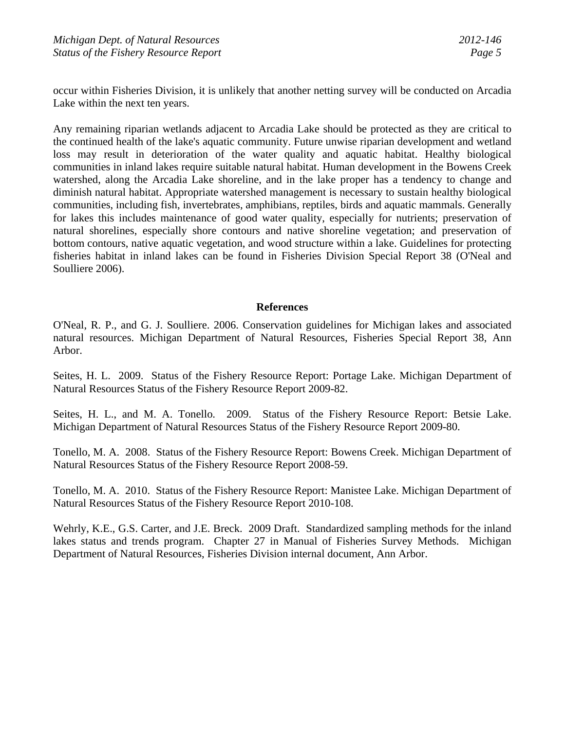occur within Fisheries Division, it is unlikely that another netting survey will be conducted on Arcadia Lake within the next ten years.

Any remaining riparian wetlands adjacent to Arcadia Lake should be protected as they are critical to the continued health of the lake's aquatic community. Future unwise riparian development and wetland loss may result in deterioration of the water quality and aquatic habitat. Healthy biological communities in inland lakes require suitable natural habitat. Human development in the Bowens Creek watershed, along the Arcadia Lake shoreline, and in the lake proper has a tendency to change and diminish natural habitat. Appropriate watershed management is necessary to sustain healthy biological communities, including fish, invertebrates, amphibians, reptiles, birds and aquatic mammals. Generally for lakes this includes maintenance of good water quality, especially for nutrients; preservation of natural shorelines, especially shore contours and native shoreline vegetation; and preservation of bottom contours, native aquatic vegetation, and wood structure within a lake. Guidelines for protecting fisheries habitat in inland lakes can be found in Fisheries Division Special Report 38 (O'Neal and Soulliere 2006).

### **References**

O'Neal, R. P., and G. J. Soulliere. 2006. Conservation guidelines for Michigan lakes and associated natural resources. Michigan Department of Natural Resources, Fisheries Special Report 38, Ann Arbor.

Seites, H. L. 2009. Status of the Fishery Resource Report: Portage Lake. Michigan Department of Natural Resources Status of the Fishery Resource Report 2009-82.

Seites, H. L., and M. A. Tonello. 2009. Status of the Fishery Resource Report: Betsie Lake. Michigan Department of Natural Resources Status of the Fishery Resource Report 2009-80.

Tonello, M. A. 2008. Status of the Fishery Resource Report: Bowens Creek. Michigan Department of Natural Resources Status of the Fishery Resource Report 2008-59.

Tonello, M. A. 2010. Status of the Fishery Resource Report: Manistee Lake. Michigan Department of Natural Resources Status of the Fishery Resource Report 2010-108.

Wehrly, K.E., G.S. Carter, and J.E. Breck. 2009 Draft. Standardized sampling methods for the inland lakes status and trends program. Chapter 27 in Manual of Fisheries Survey Methods. Michigan Department of Natural Resources, Fisheries Division internal document, Ann Arbor.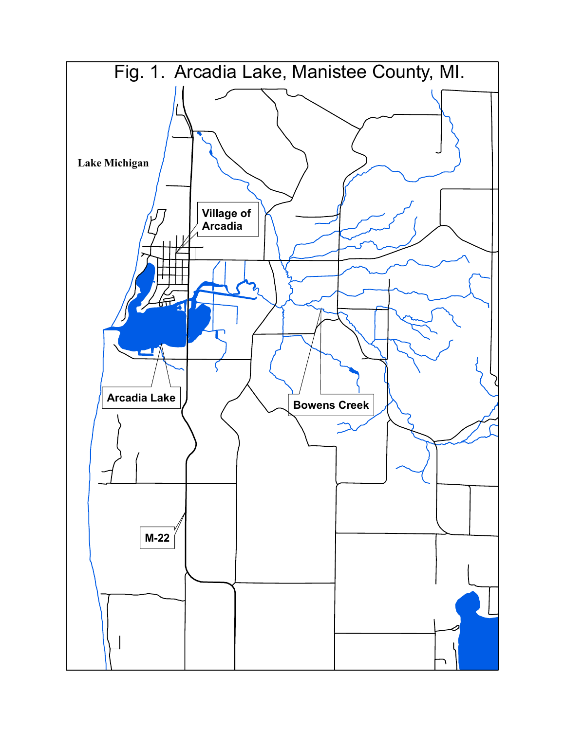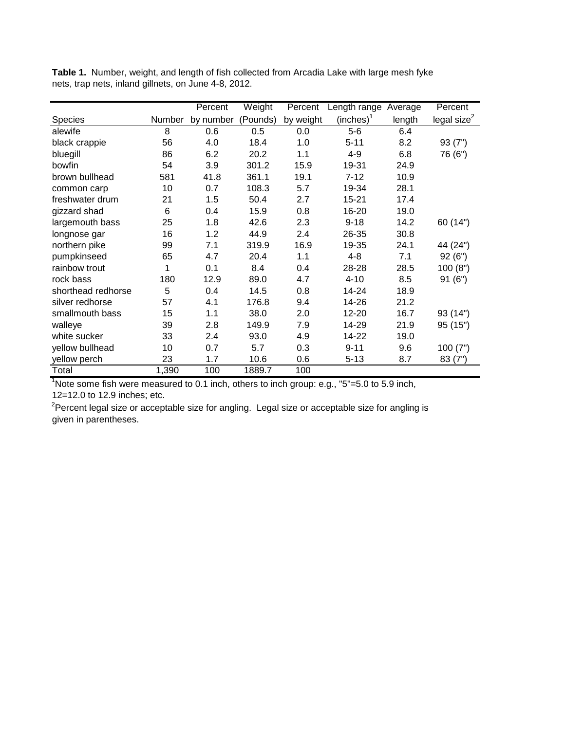|                    |        | Percent   | Weight   | Percent   | Length range          | Average | Percent                 |
|--------------------|--------|-----------|----------|-----------|-----------------------|---------|-------------------------|
| <b>Species</b>     | Number | by number | (Pounds) | by weight | (inches) <sup>1</sup> | length  | legal size <sup>2</sup> |
| alewife            | 8      | 0.6       | 0.5      | 0.0       | $5-6$                 | 6.4     |                         |
| black crappie      | 56     | 4.0       | 18.4     | 1.0       | $5 - 11$              | 8.2     | 93(7")                  |
| bluegill           | 86     | 6.2       | 20.2     | 1.1       | $4 - 9$               | 6.8     | 76 (6")                 |
| bowfin             | 54     | 3.9       | 301.2    | 15.9      | 19-31                 | 24.9    |                         |
| brown bullhead     | 581    | 41.8      | 361.1    | 19.1      | $7 - 12$              | 10.9    |                         |
| common carp        | 10     | 0.7       | 108.3    | 5.7       | 19-34                 | 28.1    |                         |
| freshwater drum    | 21     | 1.5       | 50.4     | 2.7       | $15 - 21$             | 17.4    |                         |
| gizzard shad       | 6      | 0.4       | 15.9     | 0.8       | 16-20                 | 19.0    |                         |
| largemouth bass    | 25     | 1.8       | 42.6     | 2.3       | $9 - 18$              | 14.2    | 60 (14")                |
| longnose gar       | 16     | 1.2       | 44.9     | 2.4       | 26-35                 | 30.8    |                         |
| northern pike      | 99     | 7.1       | 319.9    | 16.9      | 19-35                 | 24.1    | 44 (24")                |
| pumpkinseed        | 65     | 4.7       | 20.4     | 1.1       | 4-8                   | 7.1     | 92(6")                  |
| rainbow trout      | 1      | 0.1       | 8.4      | 0.4       | 28-28                 | 28.5    | 100(8")                 |
| rock bass          | 180    | 12.9      | 89.0     | 4.7       | $4 - 10$              | 8.5     | 91(6")                  |
| shorthead redhorse | 5      | 0.4       | 14.5     | 0.8       | 14-24                 | 18.9    |                         |
| silver redhorse    | 57     | 4.1       | 176.8    | 9.4       | 14-26                 | 21.2    |                         |
| smallmouth bass    | 15     | 1.1       | 38.0     | 2.0       | 12-20                 | 16.7    | 93 (14")                |
| walleye            | 39     | 2.8       | 149.9    | 7.9       | 14-29                 | 21.9    | 95 (15")                |
| white sucker       | 33     | 2.4       | 93.0     | 4.9       | 14-22                 | 19.0    |                         |
| yellow bullhead    | 10     | 0.7       | 5.7      | 0.3       | $9 - 11$              | 9.6     | 100(7")                 |
| yellow perch       | 23     | 1.7       | 10.6     | 0.6       | $5 - 13$              | 8.7     | 83(7")                  |
| Total              | 1,390  | 100       | 1889.7   | 100       |                       |         |                         |

**Table 1.** Number, weight, and length of fish collected from Arcadia Lake with large mesh fyke nets, trap nets, inland gillnets, on June 4-8, 2012.

<sup>1</sup>Note some fish were measured to 0.1 inch, others to inch group: e.g., "5"=5.0 to 5.9 inch, 12=12.0 to 12.9 inches; etc.

 $2$ Percent legal size or acceptable size for angling. Legal size or acceptable size for angling is given in parentheses.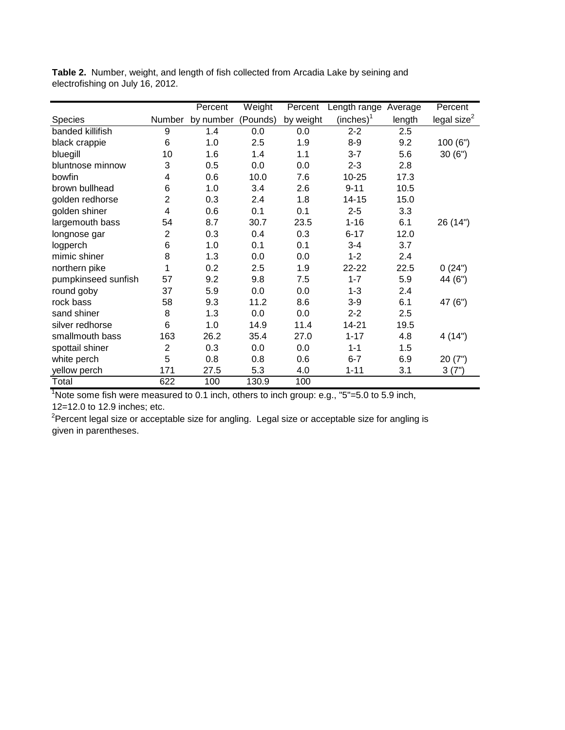|                     |                | Percent   | Weight   | Percent   | Length range Average  |        | Percent                 |
|---------------------|----------------|-----------|----------|-----------|-----------------------|--------|-------------------------|
| <b>Species</b>      | Number         | by number | (Pounds) | by weight | (inches) <sup>1</sup> | length | legal size <sup>2</sup> |
| banded killifish    | 9              | 1.4       | 0.0      | 0.0       | $2 - 2$               | 2.5    |                         |
| black crappie       | 6              | 1.0       | 2.5      | 1.9       | $8 - 9$               | 9.2    | 100(6")                 |
| bluegill            | 10             | 1.6       | 1.4      | 1.1       | $3 - 7$               | 5.6    | 30(6")                  |
| bluntnose minnow    | 3              | 0.5       | 0.0      | 0.0       | $2 - 3$               | 2.8    |                         |
| bowfin              | 4              | 0.6       | 10.0     | 7.6       | $10 - 25$             | 17.3   |                         |
| brown bullhead      | 6              | 1.0       | 3.4      | 2.6       | $9 - 11$              | 10.5   |                         |
| golden redhorse     | $\overline{2}$ | 0.3       | 2.4      | 1.8       | 14-15                 | 15.0   |                         |
| golden shiner       | 4              | 0.6       | 0.1      | 0.1       | $2 - 5$               | 3.3    |                         |
| largemouth bass     | 54             | 8.7       | 30.7     | 23.5      | $1 - 16$              | 6.1    | 26 (14")                |
| longnose gar        | $\overline{2}$ | 0.3       | 0.4      | 0.3       | $6 - 17$              | 12.0   |                         |
| logperch            | 6              | 1.0       | 0.1      | 0.1       | $3 - 4$               | 3.7    |                         |
| mimic shiner        | 8              | 1.3       | 0.0      | 0.0       | $1 - 2$               | 2.4    |                         |
| northern pike       | 1              | 0.2       | 2.5      | 1.9       | 22-22                 | 22.5   | 0(24")                  |
| pumpkinseed sunfish | 57             | 9.2       | 9.8      | 7.5       | $1 - 7$               | 5.9    | 44 (6")                 |
| round goby          | 37             | 5.9       | 0.0      | 0.0       | $1 - 3$               | 2.4    |                         |
| rock bass           | 58             | 9.3       | 11.2     | 8.6       | $3-9$                 | 6.1    | 47 (6")                 |
| sand shiner         | 8              | 1.3       | 0.0      | 0.0       | $2 - 2$               | 2.5    |                         |
| silver redhorse     | 6              | 1.0       | 14.9     | 11.4      | 14-21                 | 19.5   |                         |
| smallmouth bass     | 163            | 26.2      | 35.4     | 27.0      | $1 - 17$              | 4.8    | 4(14")                  |
| spottail shiner     | $\overline{2}$ | 0.3       | 0.0      | 0.0       | $1 - 1$               | 1.5    |                         |
| white perch         | 5              | 0.8       | 0.8      | 0.6       | $6-7$                 | 6.9    | 20(7")                  |
| yellow perch        | 171            | 27.5      | 5.3      | 4.0       | $1 - 11$              | 3.1    | 3(7")                   |
| Total               | 622            | 100       | 130.9    | 100       |                       |        |                         |

**Table 2.** Number, weight, and length of fish collected from Arcadia Lake by seining and electrofishing on July 16, 2012.

 $1$ Note some fish were measured to 0.1 inch, others to inch group: e.g., "5"=5.0 to 5.9 inch, 12=12.0 to 12.9 inches; etc.

 $2P$ ercent legal size or acceptable size for angling. Legal size or acceptable size for angling is given in parentheses.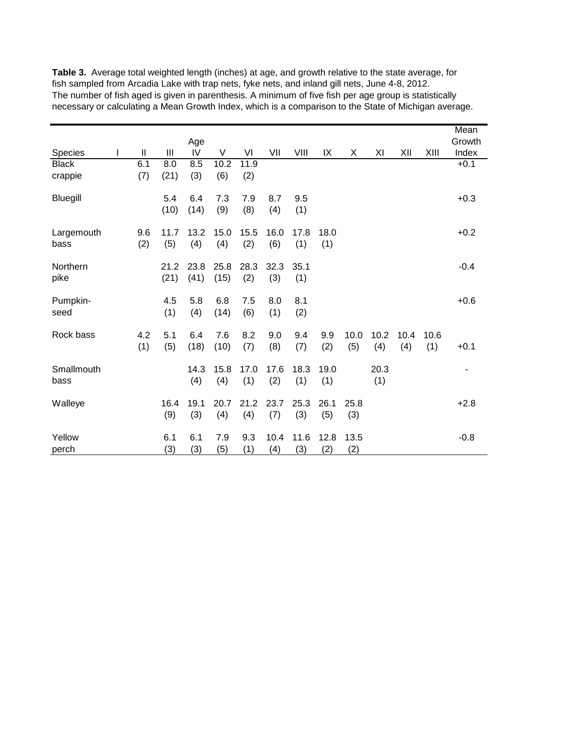| Species                 | Ш          | Ш            | Age<br>IV    | V            | VI          | VII         | VIII        | IX          | Χ           | ΧI          | XII         | XIII        | Mean<br>Growth<br>Index |
|-------------------------|------------|--------------|--------------|--------------|-------------|-------------|-------------|-------------|-------------|-------------|-------------|-------------|-------------------------|
| <b>Black</b><br>crappie | 6.1<br>(7) | 8.0<br>(21)  | 8.5<br>(3)   | 10.2<br>(6)  | 11.9<br>(2) |             |             |             |             |             |             |             | $+0.1$                  |
| Bluegill                |            | 5.4<br>(10)  | 6.4<br>(14)  | 7.3<br>(9)   | 7.9<br>(8)  | 8.7<br>(4)  | 9.5<br>(1)  |             |             |             |             |             | $+0.3$                  |
| Largemouth<br>bass      | 9.6<br>(2) | 11.7<br>(5)  | 13.2<br>(4)  | 15.0<br>(4)  | 15.5<br>(2) | 16.0<br>(6) | 17.8<br>(1) | 18.0<br>(1) |             |             |             |             | $+0.2$                  |
| Northern<br>pike        |            | 21.2<br>(21) | 23.8<br>(41) | 25.8<br>(15) | 28.3<br>(2) | 32.3<br>(3) | 35.1<br>(1) |             |             |             |             |             | $-0.4$                  |
| Pumpkin-<br>seed        |            | 4.5<br>(1)   | 5.8<br>(4)   | 6.8<br>(14)  | 7.5<br>(6)  | 8.0<br>(1)  | 8.1<br>(2)  |             |             |             |             |             | $+0.6$                  |
| Rock bass               | 4.2<br>(1) | 5.1<br>(5)   | 6.4<br>(18)  | 7.6<br>(10)  | 8.2<br>(7)  | 9.0<br>(8)  | 9.4<br>(7)  | 9.9<br>(2)  | 10.0<br>(5) | 10.2<br>(4) | 10.4<br>(4) | 10.6<br>(1) | $+0.1$                  |
| Smallmouth<br>bass      |            |              | 14.3<br>(4)  | 15.8<br>(4)  | 17.0<br>(1) | 17.6<br>(2) | 18.3<br>(1) | 19.0<br>(1) |             | 20.3<br>(1) |             |             |                         |
| Walleye                 |            | 16.4<br>(9)  | 19.1<br>(3)  | 20.7<br>(4)  | 21.2<br>(4) | 23.7<br>(7) | 25.3<br>(3) | 26.1<br>(5) | 25.8<br>(3) |             |             |             | $+2.8$                  |
| Yellow<br>perch         |            | 6.1<br>(3)   | 6.1<br>(3)   | 7.9<br>(5)   | 9.3<br>(1)  | 10.4<br>(4) | 11.6<br>(3) | 12.8<br>(2) | 13.5<br>(2) |             |             |             | $-0.8$                  |

**Table 3.** Average total weighted length (inches) at age, and growth relative to the state average, for fish sampled from Arcadia Lake with trap nets, fyke nets, and inland gill nets, June 4-8, 2012. The number of fish aged is given in parenthesis. A minimum of five fish per age group is statistically necessary or calculating a Mean Growth Index, which is a comparison to the State of Michigan average.